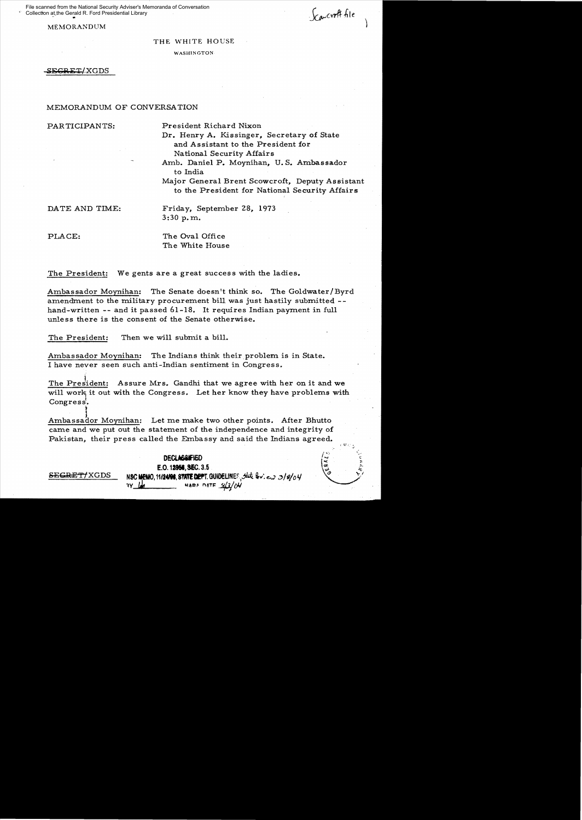File scanned from the National Security Adviser's Memoranda of Conversation Collection at the Gerald R. Ford Presidential Library

MEMORANDUM

 $\sum_{i=1}^{n}$ 

્ર<br>દર્

THE WHITE HOUSE

WASHINGTON

SEGRET/XGDS

## MEMORANDUM OF CONVERSATION

PARTICIPANTS: President Richard Nixon

Dr. Henry A. Kissinger, Secretary of State and Assistant to the President for National Security Affairs

Amb. Daniel P. Moynihan, U. S. Ambassador to India

Major General Brent Scowcroft, Deputy Assistant to the President for National Security Affairs

SE<del>CRET/</del>XGDS

DATE AND TIME: Friday, September 28, 1973 3:30 p. m.

PLACE: The Oval Office The White House

The President: We gents are a great success with the ladies.

Ambassador Moynihan: The Senate doesn't think so. The Goldwater/Byrd amendment to the military procurement bill was just hastily submitted -hand-written -- and it passed 61-18. It requires Indian payment in full unless there is the consent of the Senate otherwise.

The President: Then we will submit a bilL

Ambassador Moynihan: The Indians think their problem is in State. I have never seen such anti-Indian sentiment in Congress.

The President: Assure Mrs. Gandhi that we agree with her on it and we will work it out with the Congress. Let her know they have problems with Congress. , 11<br>|<br>|

Ambassador Moynihan: Let me make two other points. After Bhutto came and we put out the statement of the independence and integrity of Pakistan, their press called the Embassy and said the Indians agreed.

> **DECUI&iIA6O**  E.O. 1**2956, SEC.** 3.5 NSC **MEMO, 11124108, STATE DEPT. GUIDELINES.** State by: *e.* 3/9/04  $H$ ARA NATF  $2/3$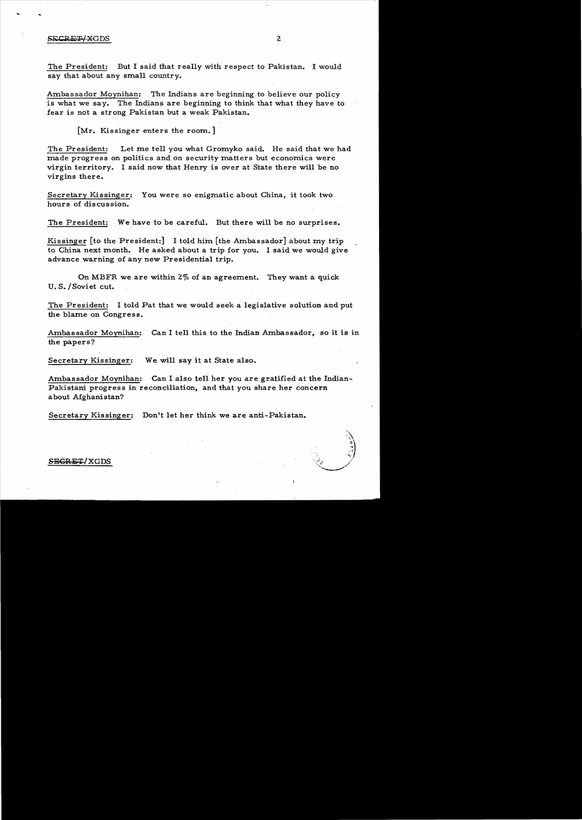## SECRET/XGDS 2

The President: But I said that really with respect to Pakistan. I would say that about any small country.

Ambassador Moynihan: The Indians are beginning to believe our policy is what we say. The Indians are beginning to think that what they have to fear is not a strong Pakistan but a weak Pakistan.

[Mr. Kissinger enters the room.]

The President: Let me tell you what Gromyko said. He said that we had made progress on politics and on security matters but economics were virgin territory. I said now that Henry is over at State there will be no virgins there.

Secretary Kissinger: You were so enigmatic about China, it took two hours of discussion.

The President: We have to be careful. But there will be no surprises.

Kissinger [to the President:] I told him [the Ambassador] about my trip to China next month. He asked about a trip for you. I said we would give advance warning of any new Presidential trip.

On MBFR we are within 2% of an agreement. They want a quick U. S./Soviet cut.

The President: I told Pat that we would seek a legislative solution and put the blame on Congress.

Ambassador Moynihan: Can I tell this to the Indian Ambassador, so it is in the papers?

Secretary Kissinger: We will say it at State also.

Ambassador Moynihan: Can I also tell her you are gratified at the Indian-Pakistani progress in reconciliation, and that you share her concern about Afghanistan?

Secretary Kissinger: Don't let her think we are anti-Pakistan.

## SECRET/XGDS

 $\circ\$ , জ<br>নয়  $\mathcal{N}_\mathcal{I}$ 

**Commencer of the Commence of the Commence of the Commence of the Commence of the Commence of the Commence of the Commence of the Commence of the Commence of the Commence of the Commence of the Commence of the Commence of**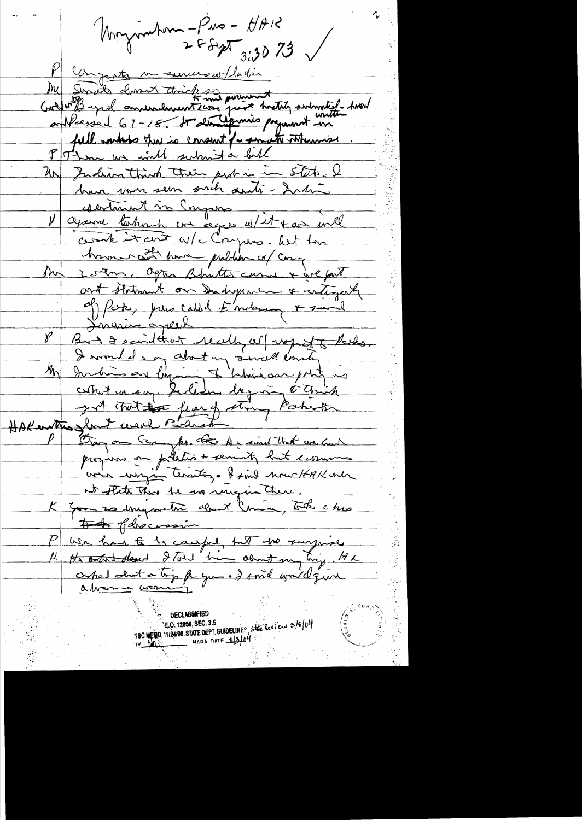Nonzimber - Pus - HAR M congents in services / ladin My Sunder down towith and provent with submitted - And fall worked there is consent for small when wis Them we would submit a full Un Indiana thanh their port in in state. I brun mon sem sait auti-Inti Vagarre tentiment un compressor compte it arit w/c Crysos. Wit for how and the more public or com our 2 ordon. Optis Blanttes curre + give fort ant statement on Deadrepenin & untigate of Poke, pour called à motor & said Linurius agreed But & saidthat really as wont that.  $\n *Y*\n$ India are bigurant interiorme point is  $M_{\rm \Lambda}$ HARANTHO Short were Partick strong Partick wis wright territor. I find now HAK only et flet that te us impost there. to of howasin We had to compet to the surprise Obel about a trip fa you. I smil would give **DECTWRIGHERD** 

NSC MEMO, 11/24/98, STATE DEPT. GUIDELINES, State Review 3/8/04